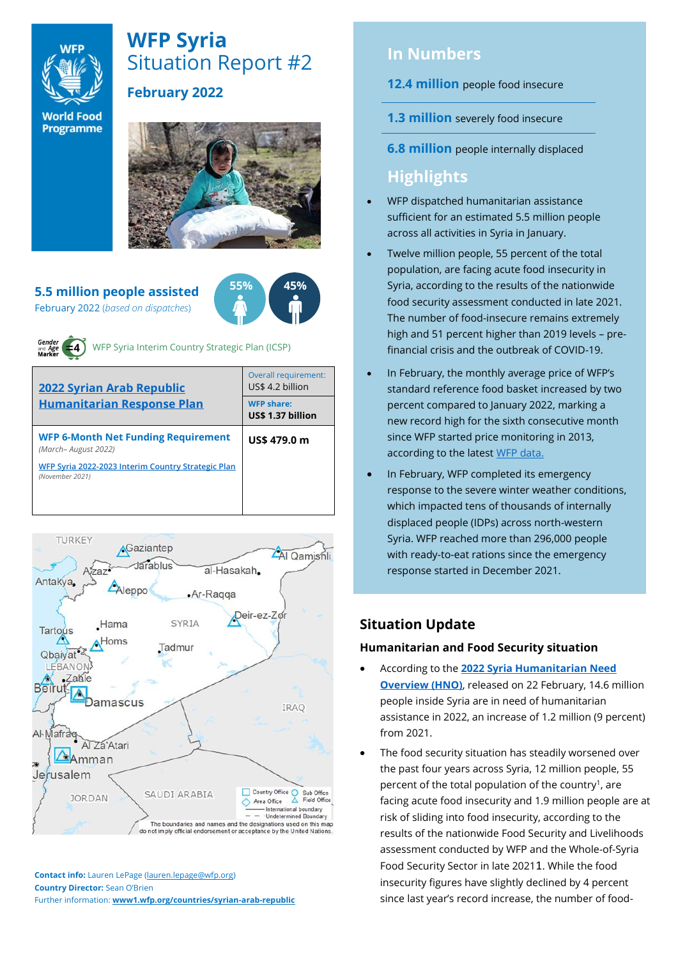

# **WFP Syria** Situation Report #2

# **February 2022**

**World Food** Programme



#### **5.5 million people assisted** February 2022 (*based on dispatches*)





WFP Syria Interim Country Strategic Plan (ICSP)

| 2022 Syrian Arab Republic                                             | <b>Overall requirement:</b><br>US\$ 4.2 billion |  |  |
|-----------------------------------------------------------------------|-------------------------------------------------|--|--|
| <b>Humanitarian Response Plan</b>                                     | <b>WFP share:</b><br>US\$ 1.37 billion          |  |  |
| <b>WFP 6-Month Net Funding Requirement</b><br>(March-August 2022)     | US\$ 479.0 m                                    |  |  |
| WFP Syria 2022-2023 Interim Country Strategic Plan<br>(November 2021) |                                                 |  |  |
|                                                                       |                                                 |  |  |



**Contact info:** Lauren LePage [\(lauren.lepage@wfp.org\)](mailto:lauren.lepage@wfp.org) **Country Director:** Sean O'Brien Further information: **[www1.wfp.org/countries/syrian-arab-republic](file:///C:/Users/lauren.lepage/AppData/Local/Microsoft/Windows/INetCache/Content.Outlook/HTRVWXQN/www1.wfp.org/countries/syrian-arab-republic)**

# **In Numbers**

#### **12.4 million** people food insecure

- **1.3 million** severely food insecure
- **6.8 million** people internally displaced

# **Highlights**

- WFP dispatched humanitarian assistance sufficient for an estimated 5.5 million people across all activities in Syria in January.
- Twelve million people, 55 percent of the total population, are facing acute food insecurity in Syria, according to the results of the nationwide food security assessment conducted in late 2021. The number of food-insecure remains extremely high and 51 percent higher than 2019 levels – prefinancial crisis and the outbreak of COVID-19.
- In February, the monthly average price of WFP's standard reference food basket increased by two percent compared to January 2022, marking a new record high for the sixth consecutive month since WFP started price monitoring in 2013, according to the latest [WFP data.](https://reliefweb.int/report/syrian-arab-republic/syria-country-office-market-price-watch-bulletin-issue-87-february-2022)
- In February, WFP completed its emergency response to the severe winter weather conditions, which impacted tens of thousands of internally displaced people (IDPs) across north-western Syria. WFP reached more than 296,000 people with ready-to-eat rations since the emergency response started in December 2021.

# **Situation Update**

### **Humanitarian and Food Security situation**

- According to the **[2022 Syria Humanitarian Need](https://reliefweb.int/report/syrian-arab-republic/2022-humanitarian-needs-overview-syrian-arab-republic-february-2022)  [Overview \(HNO\)](https://reliefweb.int/report/syrian-arab-republic/2022-humanitarian-needs-overview-syrian-arab-republic-february-2022)**, released on 22 February, 14.6 million people inside Syria are in need of humanitarian assistance in 2022, an increase of 1.2 million (9 percent) from 2021.
- The food security situation has steadily worsened over the past four years across Syria, 12 million people, 55 percent of the total population of the country<sup>1</sup>, are facing acute food insecurity and 1.9 million people are at risk of sliding into food insecurity, according to the results of the nationwide Food Security and Livelihoods assessment conducted by WFP and the Whole-of-Syria Food Security Sector in late 20211. While the food insecurity figures have slightly declined by 4 percent since last year's record increase, the number of food-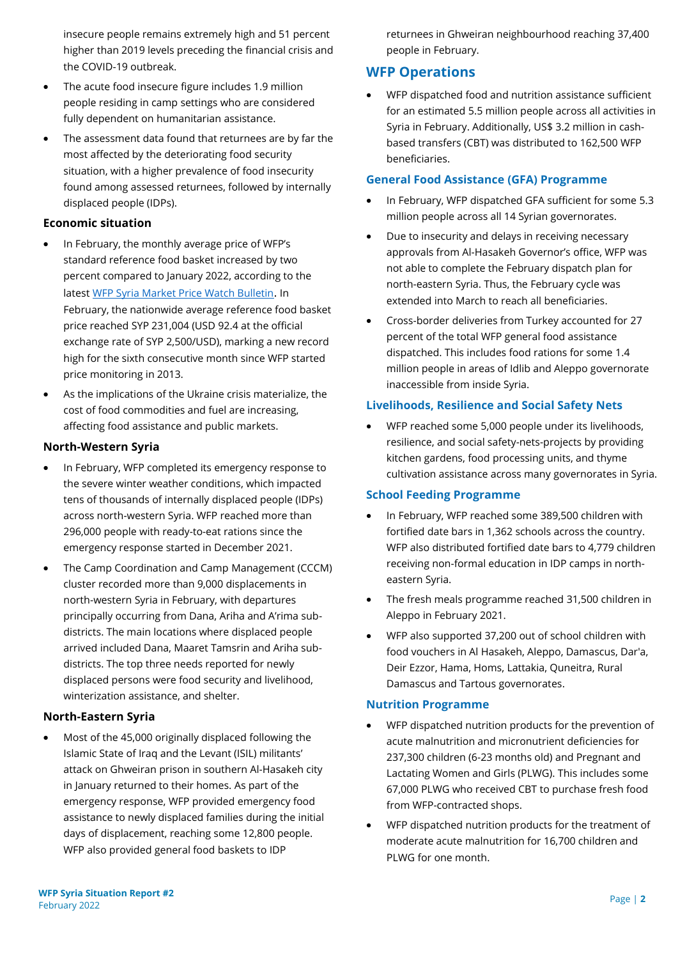insecure people remains extremely high and 51 percent higher than 2019 levels preceding the financial crisis and the COVID-19 outbreak.

- The acute food insecure figure includes 1.9 million people residing in camp settings who are considered fully dependent on humanitarian assistance.
- The assessment data found that returnees are by far the most affected by the deteriorating food security situation, with a higher prevalence of food insecurity found among assessed returnees, followed by internally displaced people (IDPs).

#### **Economic situation**

- In February, the monthly average price of WFP's standard reference food basket increased by two percent compared to January 2022, according to the latest [WFP Syria Market Price Watch Bulletin](https://reliefweb.int/report/syrian-arab-republic/syria-country-office-market-price-watch-bulletin-issue-87-february-2022). In February, the nationwide average reference food basket price reached SYP 231,004 (USD 92.4 at the official exchange rate of SYP 2,500/USD), marking a new record high for the sixth consecutive month since WFP started price monitoring in 2013.
- As the implications of the Ukraine crisis materialize, the cost of food commodities and fuel are increasing, affecting food assistance and public markets.

### **North-Western Syria**

- In February, WFP completed its emergency response to the severe winter weather conditions, which impacted tens of thousands of internally displaced people (IDPs) across north-western Syria. WFP reached more than 296,000 people with ready-to-eat rations since the emergency response started in December 2021.
- The Camp Coordination and Camp Management (CCCM) cluster recorded more than 9,000 displacements in north-western Syria in February, with departures principally occurring from Dana, Ariha and A'rima subdistricts. The main locations where displaced people arrived included Dana, Maaret Tamsrin and Ariha subdistricts. The top three needs reported for newly displaced persons were food security and livelihood, winterization assistance, and shelter.

#### **North-Eastern Syria**

• Most of the 45,000 originally displaced following the Islamic State of Iraq and the Levant (ISIL) militants' attack on Ghweiran prison in southern Al-Hasakeh city in January returned to their homes. As part of the emergency response, WFP provided emergency food assistance to newly displaced families during the initial days of displacement, reaching some 12,800 people. WFP also provided general food baskets to IDP

returnees in Ghweiran neighbourhood reaching 37,400 people in February.

# **WFP Operations**

• WFP dispatched food and nutrition assistance sufficient for an estimated 5.5 million people across all activities in Syria in February. Additionally, US\$ 3.2 million in cashbased transfers (CBT) was distributed to 162,500 WFP beneficiaries.

#### **General Food Assistance (GFA) Programme**

- In February, WFP dispatched GFA sufficient for some 5.3 million people across all 14 Syrian governorates.
- Due to insecurity and delays in receiving necessary approvals from Al-Hasakeh Governor's office, WFP was not able to complete the February dispatch plan for north-eastern Syria. Thus, the February cycle was extended into March to reach all beneficiaries.
- Cross-border deliveries from Turkey accounted for 27 percent of the total WFP general food assistance dispatched. This includes food rations for some 1.4 million people in areas of Idlib and Aleppo governorate inaccessible from inside Syria.

#### **Livelihoods, Resilience and Social Safety Nets**

• WFP reached some 5,000 people under its livelihoods, resilience, and social safety-nets-projects by providing kitchen gardens, food processing units, and thyme cultivation assistance across many governorates in Syria.

#### **School Feeding Programme**

- In February, WFP reached some 389,500 children with fortified date bars in 1,362 schools across the country. WFP also distributed fortified date bars to 4,779 children receiving non-formal education in IDP camps in northeastern Syria.
- The fresh meals programme reached 31,500 children in Aleppo in February 2021.
- WFP also supported 37,200 out of school children with food vouchers in Al Hasakeh, Aleppo, Damascus, Dar'a, Deir Ezzor, Hama, Homs, Lattakia, Quneitra, Rural Damascus and Tartous governorates.

#### **Nutrition Programme**

- WFP dispatched nutrition products for the prevention of acute malnutrition and micronutrient deficiencies for 237,300 children (6-23 months old) and Pregnant and Lactating Women and Girls (PLWG). This includes some 67,000 PLWG who received CBT to purchase fresh food from WFP-contracted shops.
- WFP dispatched nutrition products for the treatment of moderate acute malnutrition for 16,700 children and PLWG for one month.